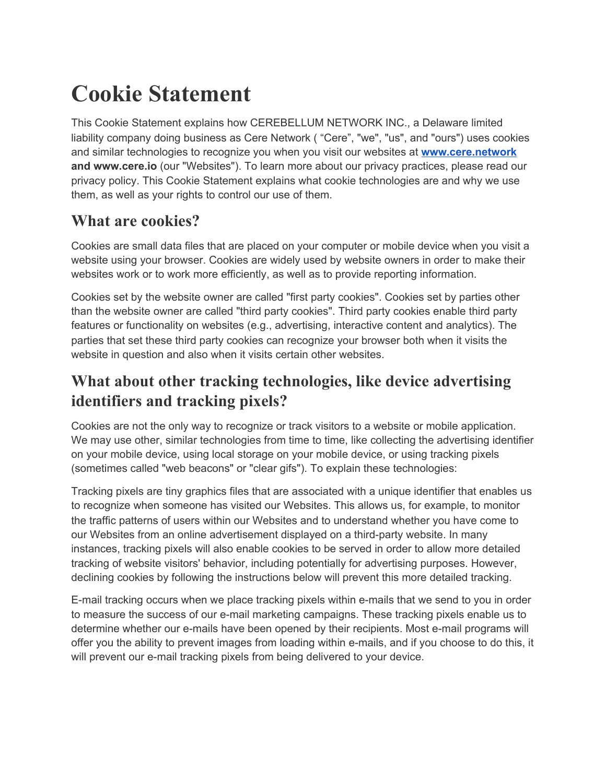# **Cookie Statement**

This Cookie Statement explains how CEREBELLUM NETWORK INC., a Delaware limited liability company doing business as Cere Network ( "Cere", "we", "us", and "ours") uses cookies and similar technologies to recognize you when you visit our websites at **[www.cere.network](http://www.cere.network/) and www.cere.io** (our "Websites"). To learn more about our privacy practices, please read our privacy policy. This Cookie Statement explains what cookie technologies are and why we use them, as well as your rights to control our use of them.

#### **What are cookies?**

Cookies are small data files that are placed on your computer or mobile device when you visit a website using your browser. Cookies are widely used by website owners in order to make their websites work or to work more efficiently, as well as to provide reporting information.

Cookies set by the website owner are called "first party cookies". Cookies set by parties other than the website owner are called "third party cookies". Third party cookies enable third party features or functionality on websites (e.g., advertising, interactive content and analytics). The parties that set these third party cookies can recognize your browser both when it visits the website in question and also when it visits certain other websites.

### **What about other tracking technologies, like device advertising identifiers and tracking pixels?**

Cookies are not the only way to recognize or track visitors to a website or mobile application. We may use other, similar technologies from time to time, like collecting the advertising identifier on your mobile device, using local storage on your mobile device, or using tracking pixels (sometimes called "web beacons" or "clear gifs"). To explain these technologies:

Tracking pixels are tiny graphics files that are associated with a unique identifier that enables us to recognize when someone has visited our Websites. This allows us, for example, to monitor the traffic patterns of users within our Websites and to understand whether you have come to our Websites from an online advertisement displayed on a third-party website. In many instances, tracking pixels will also enable cookies to be served in order to allow more detailed tracking of website visitors' behavior, including potentially for advertising purposes. However, declining cookies by following the instructions below will prevent this more detailed tracking.

E-mail tracking occurs when we place tracking pixels within e-mails that we send to you in order to measure the success of our e-mail marketing campaigns. These tracking pixels enable us to determine whether our e-mails have been opened by their recipients. Most e-mail programs will offer you the ability to prevent images from loading within e-mails, and if you choose to do this, it will prevent our e-mail tracking pixels from being delivered to your device.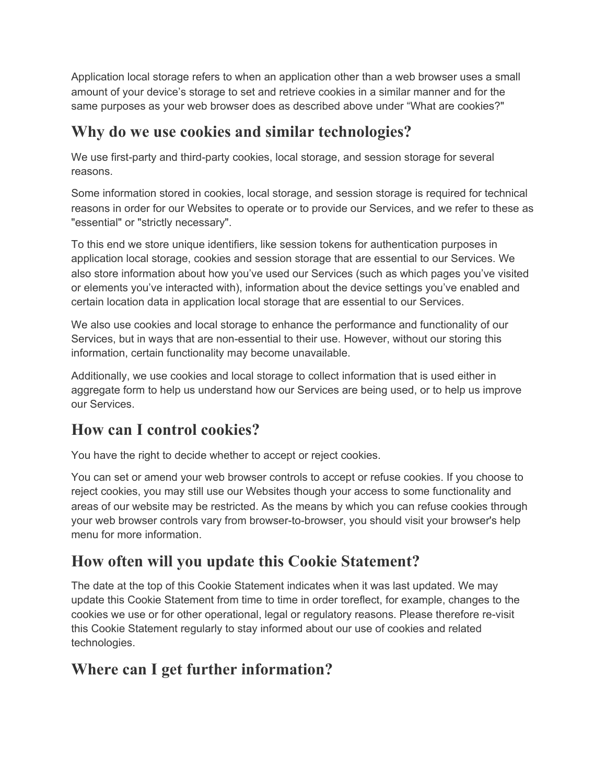Application local storage refers to when an application other than a web browser uses a small amount of your device's storage to set and retrieve cookies in a similar manner and for the same purposes as your web browser does as described above under "What are cookies?"

#### **Why do we use cookies and similar technologies?**

We use first-party and third-party cookies, local storage, and session storage for several reasons.

Some information stored in cookies, local storage, and session storage is required for technical reasons in order for our Websites to operate or to provide our Services, and we refer to these as "essential" or "strictly necessary".

To this end we store unique identifiers, like session tokens for authentication purposes in application local storage, cookies and session storage that are essential to our Services. We also store information about how you've used our Services (such as which pages you've visited or elements you've interacted with), information about the device settings you've enabled and certain location data in application local storage that are essential to our Services.

We also use cookies and local storage to enhance the performance and functionality of our Services, but in ways that are non-essential to their use. However, without our storing this information, certain functionality may become unavailable.

Additionally, we use cookies and local storage to collect information that is used either in aggregate form to help us understand how our Services are being used, or to help us improve our Services.

#### **How can I control cookies?**

You have the right to decide whether to accept or reject cookies.

You can set or amend your web browser controls to accept or refuse cookies. If you choose to reject cookies, you may still use our Websites though your access to some functionality and areas of our website may be restricted. As the means by which you can refuse cookies through your web browser controls vary from browser-to-browser, you should visit your browser's help menu for more information.

## **How often will you update this Cookie Statement?**

The date at the top of this Cookie Statement indicates when it was last updated. We may update this Cookie Statement from time to time in order toreflect, for example, changes to the cookies we use or for other operational, legal or regulatory reasons. Please therefore re-visit this Cookie Statement regularly to stay informed about our use of cookies and related technologies.

#### **Where can I get further information?**